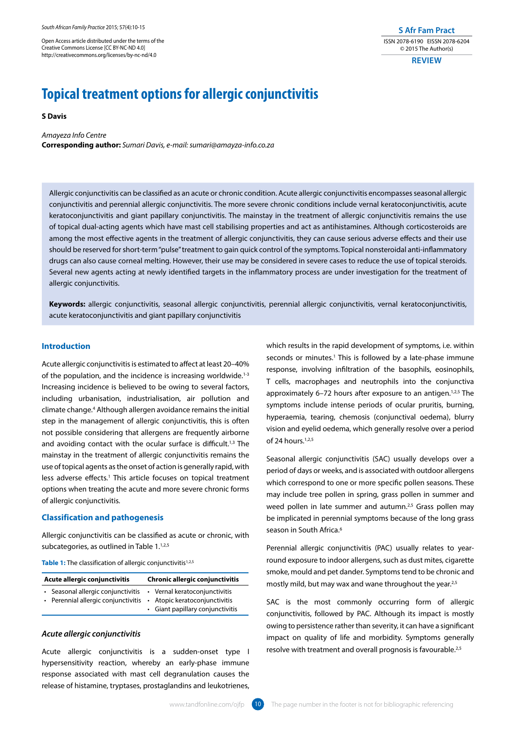Open Access article distributed under the terms of the Creative Commons License [CC BY-NC-ND 4.0] http://creativecommons.org/licenses/by-nc-nd/4.0

**S Afr Fam Pract** ISSN 2078-6190 EISSN 2078-6204 © 2015 The Author(s)

**REVIEW**

# **Topical treatment options for allergic conjunctivitis**

# **S Davis**

*Amayeza Info Centre* **Corresponding author:** *Sumari Davis, e-mail: sumari@amayza-info.co.za*

Allergic conjunctivitis can be classified as an acute or chronic condition. Acute allergic conjunctivitis encompasses seasonal allergic conjunctivitis and perennial allergic conjunctivitis. The more severe chronic conditions include vernal keratoconjunctivitis, acute keratoconjunctivitis and giant papillary conjunctivitis. The mainstay in the treatment of allergic conjunctivitis remains the use of topical dual-acting agents which have mast cell stabilising properties and act as antihistamines. Although corticosteroids are among the most effective agents in the treatment of allergic conjunctivitis, they can cause serious adverse effects and their use should be reserved for short-term "pulse" treatment to gain quick control of the symptoms. Topical nonsteroidal anti-inflammatory drugs can also cause corneal melting. However, their use may be considered in severe cases to reduce the use of topical steroids. Several new agents acting at newly identified targets in the inflammatory process are under investigation for the treatment of allergic conjunctivitis.

**Keywords:** allergic conjunctivitis, seasonal allergic conjunctivitis, perennial allergic conjunctivitis, vernal keratoconjunctivitis, acute keratoconjunctivitis and giant papillary conjunctivitis

# **Introduction**

Acute allergic conjunctivitis is estimated to affect at least 20–40% of the population, and the incidence is increasing worldwide.<sup>1-3</sup> Increasing incidence is believed to be owing to several factors, including urbanisation, industrialisation, air pollution and climate change.4 Although allergen avoidance remains the initial step in the management of allergic conjunctivitis, this is often not possible considering that allergens are frequently airborne and avoiding contact with the ocular surface is difficult.<sup>1,3</sup> The mainstay in the treatment of allergic conjunctivitis remains the use of topical agents as the onset of action is generally rapid, with less adverse effects.<sup>1</sup> This article focuses on topical treatment options when treating the acute and more severe chronic forms of allergic conjunctivitis.

## **Classification and pathogenesis**

Allergic conjunctivitis can be classified as acute or chronic, with subcategories, as outlined in Table 1.<sup>1,2,5</sup>

Table 1: The classification of allergic conjunctivitis<sup>1,2,5</sup>

| Acute allergic conjunctivitis |                                                                                                                                       | <b>Chronic allergic conjunctivitis</b> |                                  |
|-------------------------------|---------------------------------------------------------------------------------------------------------------------------------------|----------------------------------------|----------------------------------|
|                               | • Seasonal allergic conjunctivitis • Vernal keratoconjunctivitis<br>• Perennial allergic conjunctivitis • Atopic keratoconjunctivitis |                                        | • Giant papillary conjunctivitis |

# *Acute allergic conjunctivitis*

Acute allergic conjunctivitis is a sudden-onset type I hypersensitivity reaction, whereby an early-phase immune response associated with mast cell degranulation causes the release of histamine, tryptases, prostaglandins and leukotrienes,

which results in the rapid development of symptoms, i.e. within seconds or minutes.<sup>1</sup> This is followed by a late-phase immune response, involving infiltration of the basophils, eosinophils, T cells, macrophages and neutrophils into the conjunctiva approximately 6-72 hours after exposure to an antigen.<sup>1,2,5</sup> The symptoms include intense periods of ocular pruritis, burning, hyperaemia, tearing, chemosis (conjunctival oedema), blurry vision and eyelid oedema, which generally resolve over a period of 24 hours.1,2,5

Seasonal allergic conjunctivitis (SAC) usually develops over a period of days or weeks, and is associated with outdoor allergens which correspond to one or more specific pollen seasons. These may include tree pollen in spring, grass pollen in summer and weed pollen in late summer and autumn.<sup>2,5</sup> Grass pollen may be implicated in perennial symptoms because of the long grass season in South Africa.<sup>6</sup>

Perennial allergic conjunctivitis (PAC) usually relates to yearround exposure to indoor allergens, such as dust mites, cigarette smoke, mould and pet dander. Symptoms tend to be chronic and mostly mild, but may wax and wane throughout the year.<sup>2,5</sup>

SAC is the most commonly occurring form of allergic conjunctivitis, followed by PAC. Although its impact is mostly owing to persistence rather than severity, it can have a significant impact on quality of life and morbidity. Symptoms generally resolve with treatment and overall prognosis is favourable.<sup>2,5</sup>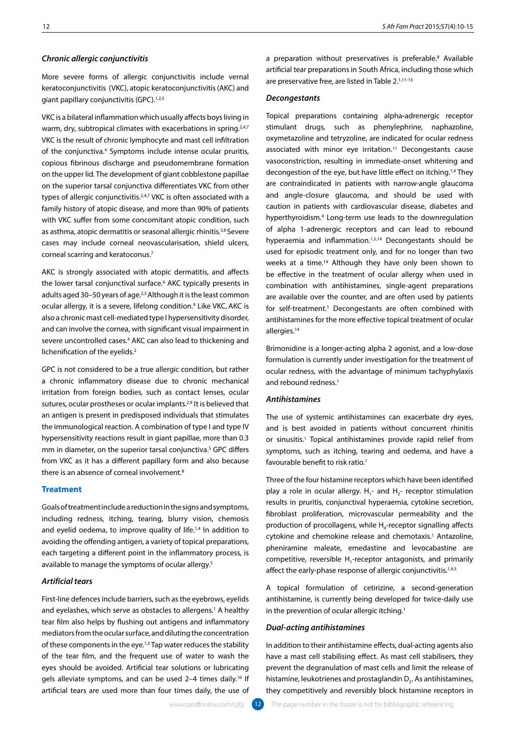# *Chronic allergic conjunctivitis*

More severe forms of allergic conjunctivitis include vernal keratoconjunctivitis (VKC), atopic keratoconjunctivitis (AKC) and giant papillary conjunctivitis (GPC).<sup>1,2,5</sup>

VKC is a bilateral inflammation which usually affects boys living in warm, dry, subtropical climates with exacerbations in spring.<sup>2,4,7</sup> VKC is the result of chronic lymphocyte and mast cell infiltration of the conjunctiva.4 Symptoms include intense ocular pruritis, copious fibrinous discharge and pseudomembrane formation on the upper lid. The development of giant cobblestone papillae on the superior tarsal conjunctiva differentiates VKC from other types of allergic conjunctivitis.<sup>2,4,7</sup> VKC is often associated with a family history of atopic disease, and more than 90% of patients with VKC suffer from some concomitant atopic condition, such as asthma, atopic dermatitis or seasonal allergic rhinitis.5,8 Severe cases may include corneal neovascularisation, shield ulcers, corneal scarring and keratoconus.7

AKC is strongly associated with atopic dermatitis, and affects the lower tarsal conjunctival surface.<sup>9</sup> AKC typically presents in adults aged 30–50 years of age.<sup>2,5</sup> Although it is the least common ocular allergy, it is a severe, lifelong condition.<sup>9</sup> Like VKC, AKC is also a chronic mast cell-mediated type I hypersensitivity disorder, and can involve the cornea, with significant visual impairment in severe uncontrolled cases.<sup>4</sup> AKC can also lead to thickening and lichenification of the eyelids.2

GPC is not considered to be a true allergic condition, but rather a chronic inflammatory disease due to chronic mechanical irritation from foreign bodies, such as contact lenses, ocular sutures, ocular prostheses or ocular implants.2,9 It is believed that an antigen is present in predisposed individuals that stimulates the immunological reaction. A combination of type I and type IV hypersensitivity reactions result in giant papillae, more than 0.3 mm in diameter, on the superior tarsal conjunctiva.<sup>5</sup> GPC differs from VKC as it has a different papillary form and also because there is an absence of corneal involvement.<sup>8</sup>

# **Treatment**

Goals of treatment include a reduction in the signs and symptoms, including redness, itching, tearing, blurry vision, chemosis and eyelid oedema, to improve quality of life.<sup>1,4</sup> In addition to avoiding the offending antigen, a variety of topical preparations, each targeting a different point in the inflammatory process, is available to manage the symptoms of ocular allergy.<sup>5</sup>

# *Artificial tears*

First-line defences include barriers, such as the eyebrows, eyelids and eyelashes, which serve as obstacles to allergens.<sup>1</sup> A healthy tear film also helps by flushing out antigens and inflammatory mediators from the ocular surface, and diluting the concentration of these components in the eye.1,5 Tap water reduces the stability of the tear film, and the frequent use of water to wash the eyes should be avoided. Artificial tear solutions or lubricating gels alleviate symptoms, and can be used 2–4 times daily.10 If artificial tears are used more than four times daily, the use of

a preparation without preservatives is preferable.<sup>8</sup> Available artificial tear preparations in South Africa, including those which are preservative free, are listed in Table 2.1,11-13

## *Decongestants*

Topical preparations containing alpha**-**adrenergic receptor stimulant drugs, such as phenylephrine, naphazoline, oxymetazoline and tetryzoline, are indicated for ocular redness associated with minor eye irritation.<sup>11</sup> Decongestants cause vasoconstriction, resulting in immediate-onset whitening and decongestion of the eye, but have little effect on itching.1,4 They are contraindicated in patients with narrow-angle glaucoma and angle-closure glaucoma, and should be used with caution in patients with cardiovascular disease, diabetes and hyperthyroidism.4 Long-term use leads to the downregulation of alpha 1-adrenergic receptors and can lead to rebound hyperaemia and inflammation.<sup>1,5,14</sup> Decongestants should be used for episodic treatment only, and for no longer than two weeks at a time.14 Although they have only been shown to be effective in the treatment of ocular allergy when used in combination with antihistamines, single-agent preparations are available over the counter, and are often used by patients for self-treatment.<sup>1</sup> Decongestants are often combined with antihistamines for the more effective topical treatment of ocular allergies.<sup>14</sup>

Brimonidine is a longer-acting alpha 2 agonist, and a low-dose formulation is currently under investigation for the treatment of ocular redness, with the advantage of minimum tachyphylaxis and rebound redness.<sup>1</sup>

## *Antihistamines*

The use of systemic antihistamines can exacerbate dry eyes, and is best avoided in patients without concurrent rhinitis or sinusitis.1 Topical antihistamines provide rapid relief from symptoms, such as itching, tearing and oedema, and have a favourable benefit to risk ratio.1

Three of the four histamine receptors which have been identified play a role in ocular allergy.  $H_1$ - and  $H_2$ - receptor stimulation results in pruritis, conjunctival hyperaemia, cytokine secretion, fibroblast proliferation, microvascular permeability and the production of procollagens, while  $H<sub>a</sub>$ -receptor signalling affects cytokine and chemokine release and chemotaxis.<sup>1</sup> Antazoline, pheniramine maleate, emedastine and levocabastine are competitive, reversible H<sub>1</sub>-receptor antagonists, and primarily affect the early-phase response of allergic conjunctivitis.<sup>1,4,5</sup>

A topical formulation of cetirizine, a second-generation antihistamine, is currently being developed for twice-daily use in the prevention of ocular allergic itching.<sup>1</sup>

## *Dual-acting antihistamines*

In addition to their antihistamine effects, dual-acting agents also have a mast cell stabilising effect. As mast cell stabilisers, they prevent the degranulation of mast cells and limit the release of histamine, leukotrienes and prostaglandin D<sub>2</sub>. As antihistamines, they competitively and reversibly block histamine receptors in

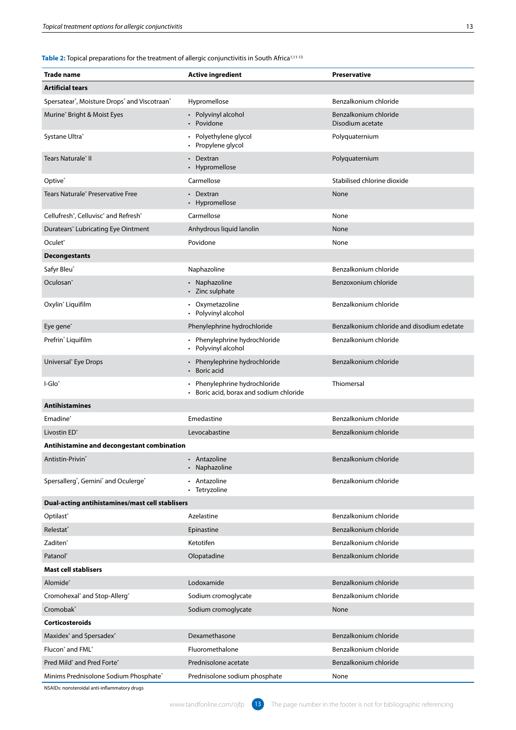| <b>Trade name</b>                                                         | <b>Active ingredient</b>                                                          | Preservative                               |  |  |  |  |
|---------------------------------------------------------------------------|-----------------------------------------------------------------------------------|--------------------------------------------|--|--|--|--|
| <b>Artificial tears</b>                                                   |                                                                                   |                                            |  |  |  |  |
| Spersatear®, Moisture Drops® and Viscotraan®                              | Hypromellose                                                                      | Benzalkonium chloride                      |  |  |  |  |
| Murine® Bright & Moist Eyes                                               | Polyvinyl alcohol<br>$\bullet$<br>Povidone<br>$\bullet$                           | Benzalkonium chloride<br>Disodium acetate  |  |  |  |  |
| Systane Ultra®                                                            | Polyethylene glycol<br>Propylene glycol                                           | Polyquaternium                             |  |  |  |  |
| Tears Naturale® II                                                        | Dextran<br>Hypromellose                                                           | Polyquaternium                             |  |  |  |  |
| Optive®                                                                   | Carmellose                                                                        | Stabilised chlorine dioxide                |  |  |  |  |
| Tears Naturale® Preservative Free                                         | • Dextran<br>• Hypromellose                                                       | None                                       |  |  |  |  |
| Cellufresh <sup>®</sup> , Celluvisc <sup>®</sup> and Refresh <sup>®</sup> | Carmellose                                                                        | None                                       |  |  |  |  |
| Duratears <sup>®</sup> Lubricating Eye Ointment                           | Anhydrous liquid lanolin                                                          | None                                       |  |  |  |  |
| Oculet®                                                                   | Povidone                                                                          | None                                       |  |  |  |  |
| <b>Decongestants</b>                                                      |                                                                                   |                                            |  |  |  |  |
| Safyr Bleu®                                                               | Naphazoline                                                                       | Benzalkonium chloride                      |  |  |  |  |
| Oculosan <sup>®</sup>                                                     | • Naphazoline<br>Zinc sulphate                                                    | Benzoxonium chloride                       |  |  |  |  |
| Oxylin <sup>®</sup> Liquifilm                                             | • Oxymetazoline<br>Polyvinyl alcohol                                              | Benzalkonium chloride                      |  |  |  |  |
| Eye gene®                                                                 | Phenylephrine hydrochloride                                                       | Benzalkonium chloride and disodium edetate |  |  |  |  |
| Prefrin <sup>®</sup> Liquifilm                                            | • Phenylephrine hydrochloride<br>Polyvinyl alcohol<br>٠                           | Benzalkonium chloride                      |  |  |  |  |
| Universal <sup>®</sup> Eye Drops                                          | • Phenylephrine hydrochloride<br>Boric acid                                       | Benzalkonium chloride                      |  |  |  |  |
| l-Glo <sup>®</sup>                                                        | Phenylephrine hydrochloride<br>$\bullet$<br>Boric acid, borax and sodium chloride | Thiomersal                                 |  |  |  |  |
| <b>Antihistamines</b>                                                     |                                                                                   |                                            |  |  |  |  |
| Emadine®                                                                  | Emedastine                                                                        | Benzalkonium chloride                      |  |  |  |  |
| Livostin ED <sup>®</sup>                                                  | Levocabastine                                                                     | Benzalkonium chloride                      |  |  |  |  |
| Antihistamine and decongestant combination                                |                                                                                   |                                            |  |  |  |  |
| Antistin-Privin®                                                          | Antazoline<br>Naphazoline<br>$\bullet$                                            | Benzalkonium chloride                      |  |  |  |  |
| Spersallerg <sup>®</sup> , Gemini <sup>®</sup> and Oculerge <sup>®</sup>  | Antazoline<br>Tetryzoline                                                         | Benzalkonium chloride                      |  |  |  |  |
| Dual-acting antihistamines/mast cell stablisers                           |                                                                                   |                                            |  |  |  |  |
| Optilast®                                                                 | Azelastine                                                                        | Benzalkonium chloride                      |  |  |  |  |
| Relestat <sup>®</sup>                                                     | Epinastine                                                                        | Benzalkonium chloride                      |  |  |  |  |
| Zaditen <sup>®</sup>                                                      | Ketotifen                                                                         | Benzalkonium chloride                      |  |  |  |  |
| Patanol®                                                                  | Olopatadine                                                                       | Benzalkonium chloride                      |  |  |  |  |
| <b>Mast cell stablisers</b>                                               |                                                                                   |                                            |  |  |  |  |
| Alomide®                                                                  | Lodoxamide                                                                        | Benzalkonium chloride                      |  |  |  |  |
| Cromohexal <sup>®</sup> and Stop-Allerg <sup>®</sup>                      | Sodium cromoglycate                                                               | Benzalkonium chloride                      |  |  |  |  |
| Cromobak®                                                                 | Sodium cromoglycate                                                               | None                                       |  |  |  |  |
| <b>Corticosteroids</b>                                                    |                                                                                   |                                            |  |  |  |  |
| Maxidex <sup>®</sup> and Spersadex <sup>®</sup>                           | Dexamethasone                                                                     | Benzalkonium chloride                      |  |  |  |  |
| Flucon <sup>®</sup> and FML <sup>®</sup>                                  | Fluoromethalone                                                                   | Benzalkonium chloride                      |  |  |  |  |
| Pred Mild <sup>®</sup> and Pred Forte®                                    | Prednisolone acetate                                                              | Benzalkonium chloride                      |  |  |  |  |
| Minims Prednisolone Sodium Phosphate®                                     | Prednisolone sodium phosphate                                                     | None                                       |  |  |  |  |

NSAIDs: nonsteroidal anti-inflammatory drugs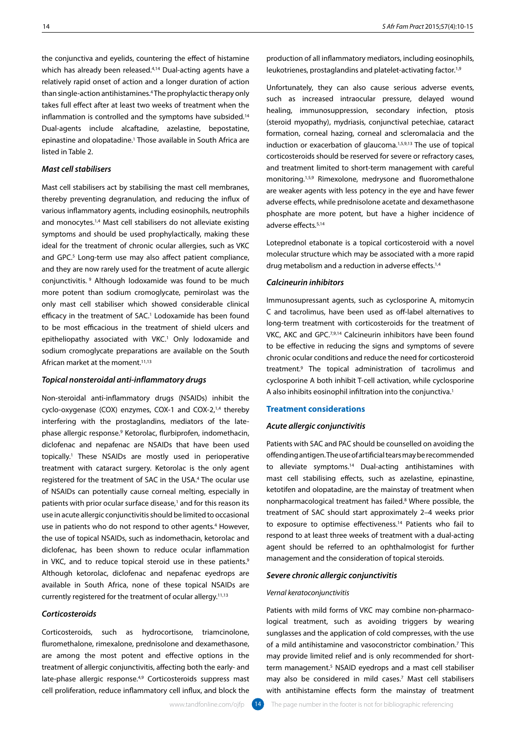the conjunctiva and eyelids, countering the effect of histamine which has already been released.<sup>4,14</sup> Dual-acting agents have a relatively rapid onset of action and a longer duration of action than single-action antihistamines.4 The prophylactic therapy only takes full effect after at least two weeks of treatment when the inflammation is controlled and the symptoms have subsided.<sup>14</sup> Dual-agents include alcaftadine, azelastine, bepostatine, epinastine and olopatadine.1 Those available in South Africa are listed in Table 2.

# *Mast cell stabilisers*

Mast cell stabilisers act by stabilising the mast cell membranes, thereby preventing degranulation, and reducing the influx of various inflammatory agents, including eosinophils, neutrophils and monocytes.<sup>1,4</sup> Mast cell stabilisers do not alleviate existing symptoms and should be used prophylactically, making these ideal for the treatment of chronic ocular allergies, such as VKC and GPC.<sup>5</sup> Long-term use may also affect patient compliance, and they are now rarely used for the treatment of acute allergic conjunctivitis. 9 Although lodoxamide was found to be much more potent than sodium cromoglycate, pemirolast was the only mast cell stabiliser which showed considerable clinical efficacy in the treatment of SAC.<sup>1</sup> Lodoxamide has been found to be most efficacious in the treatment of shield ulcers and epitheliopathy associated with VKC.<sup>1</sup> Only lodoxamide and sodium cromoglycate preparations are available on the South African market at the moment.<sup>11,13</sup>

# *Topical nonsteroidal anti-inflammatory drugs*

Non-steroidal anti-inflammatory drugs (NSAIDs) inhibit the cyclo-oxygenase (COX) enzymes, COX-1 and COX-2,<sup>1,4</sup> thereby interfering with the prostaglandins, mediators of the latephase allergic response.9 Ketorolac, flurbiprofen, indomethacin, diclofenac and nepafenac are NSAIDs that have been used topically.1 These NSAIDs are mostly used in perioperative treatment with cataract surgery. Ketorolac is the only agent registered for the treatment of SAC in the USA.4 The ocular use of NSAIDs can potentially cause corneal melting, especially in patients with prior ocular surface disease,<sup>1</sup> and for this reason its use in acute allergic conjunctivitis should be limited to occasional use in patients who do not respond to other agents.<sup>4</sup> However, the use of topical NSAIDs, such as indomethacin, ketorolac and diclofenac, has been shown to reduce ocular inflammation in VKC, and to reduce topical steroid use in these patients.<sup>9</sup> Although ketorolac, diclofenac and nepafenac eyedrops are available in South Africa, none of these topical NSAIDs are currently registered for the treatment of ocular allergy.11,13

# *Corticosteroids*

Corticosteroids, such as hydrocortisone, triamcinolone, fluromethalone, rimexalone, prednisolone and dexamethasone, are among the most potent and effective options in the treatment of allergic conjunctivitis, affecting both the early- and late-phase allergic response.<sup>4,9</sup> Corticosteroids suppress mast cell proliferation, reduce inflammatory cell influx, and block the

production of all inflammatory mediators, including eosinophils, leukotrienes, prostaglandins and platelet-activating factor.<sup>1,9</sup>

Unfortunately, they can also cause serious adverse events, such as increased intraocular pressure, delayed wound healing, immunosuppression, secondary infection, ptosis (steroid myopathy), mydriasis, conjunctival petechiae, cataract formation, corneal hazing, corneal and scleromalacia and the induction or exacerbation of glaucoma.1,5,9,13 The use of topical corticosteroids should be reserved for severe or refractory cases, and treatment limited to short-term management with careful monitoring.1,5,9 Rimexolone, medrysone and fluoromethalone are weaker agents with less potency in the eye and have fewer adverse effects, while prednisolone acetate and dexamethasone phosphate are more potent, but have a higher incidence of adverse effects.5,14

Loteprednol etabonate is a topical corticosteroid with a novel molecular structure which may be associated with a more rapid drug metabolism and a reduction in adverse effects.<sup>1,4</sup>

# *Calcineurin inhibitors*

Immunosupressant agents, such as cyclosporine A, mitomycin C and tacrolimus, have been used as off-label alternatives to long-term treatment with corticosteroids for the treatment of VKC, AKC and GPC.<sup>7,9,14</sup> Calcineurin inhibitors have been found to be effective in reducing the signs and symptoms of severe chronic ocular conditions and reduce the need for corticosteroid treatment.9 The topical administration of tacrolimus and cyclosporine A both inhibit T-cell activation, while cyclosporine A also inhibits eosinophil infiltration into the conjunctiva.<sup>1</sup>

# **Treatment considerations**

#### *Acute allergic conjunctivitis*

Patients with SAC and PAC should be counselled on avoiding the offending antigen. The use of artificial tears may be recommended to alleviate symptoms.14 Dual-acting antihistamines with mast cell stabilising effects, such as azelastine, epinastine, ketotifen and olopatadine, are the mainstay of treatment when nonpharmacological treatment has failed.8 Where possible, the treatment of SAC should start approximately 2–4 weeks prior to exposure to optimise effectiveness.<sup>14</sup> Patients who fail to respond to at least three weeks of treatment with a dual-acting agent should be referred to an ophthalmologist for further management and the consideration of topical steroids.

### *Severe chronic allergic conjunctivitis*

#### *Vernal keratoconjunctivitis*

Patients with mild forms of VKC may combine non-pharmacological treatment, such as avoiding triggers by wearing sunglasses and the application of cold compresses, with the use of a mild antihistamine and vasoconstrictor combination.<sup>7</sup> This may provide limited relief and is only recommended for shortterm management.<sup>5</sup> NSAID eyedrops and a mast cell stabiliser may also be considered in mild cases.7 Mast cell stabilisers with antihistamine effects form the mainstay of treatment